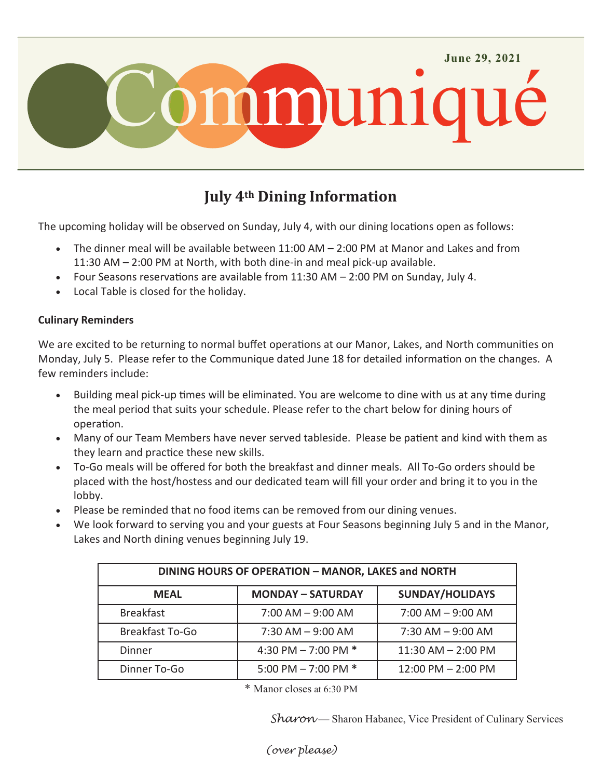

# **July 4th Dining Information**

The upcoming holiday will be observed on Sunday, July 4, with our dining locations open as follows:

- The dinner meal will be available between 11:00 AM 2:00 PM at Manor and Lakes and from 11:30 AM – 2:00 PM at North, with both dine-in and meal pick-up available.
- Four Seasons reservations are available from 11:30 AM 2:00 PM on Sunday, July 4.
- Local Table is closed for the holiday.

## **Culinary Reminders**

We are excited to be returning to normal buffet operations at our Manor, Lakes, and North communities on Monday, July 5. Please refer to the Communique dated June 18 for detailed information on the changes. A few reminders include:

- Building meal pick-up times will be eliminated. You are welcome to dine with us at any time during the meal period that suits your schedule. Please refer to the chart below for dining hours of operation.
- Many of our Team Members have never served tableside. Please be patient and kind with them as they learn and practice these new skills.
- To-Go meals will be offered for both the breakfast and dinner meals. All To-Go orders should be placed with the host/hostess and our dedicated team will fill your order and bring it to you in the lobby.
- Please be reminded that no food items can be removed from our dining venues.
- We look forward to serving you and your guests at Four Seasons beginning July 5 and in the Manor, Lakes and North dining venues beginning July 19.

| DINING HOURS OF OPERATION - MANOR, LAKES and NORTH |                          |                        |
|----------------------------------------------------|--------------------------|------------------------|
| <b>MEAL</b>                                        | <b>MONDAY - SATURDAY</b> | <b>SUNDAY/HOLIDAYS</b> |
| <b>Breakfast</b>                                   | $7:00$ AM $-9:00$ AM     | $7:00$ AM $-9:00$ AM   |
| <b>Breakfast To-Go</b>                             | $7:30$ AM $-9:00$ AM     | $7:30$ AM $-9:00$ AM   |
| Dinner                                             | 4:30 PM $-$ 7:00 PM $*$  | $11:30$ AM $- 2:00$ PM |
| Dinner To-Go                                       | 5:00 PM $-$ 7:00 PM $*$  | 12:00 PM - 2:00 PM     |

\* Manor closes at 6:30 PM

Sharon - Sharon Habanec, Vice President of Culinary Services

*(over please)*